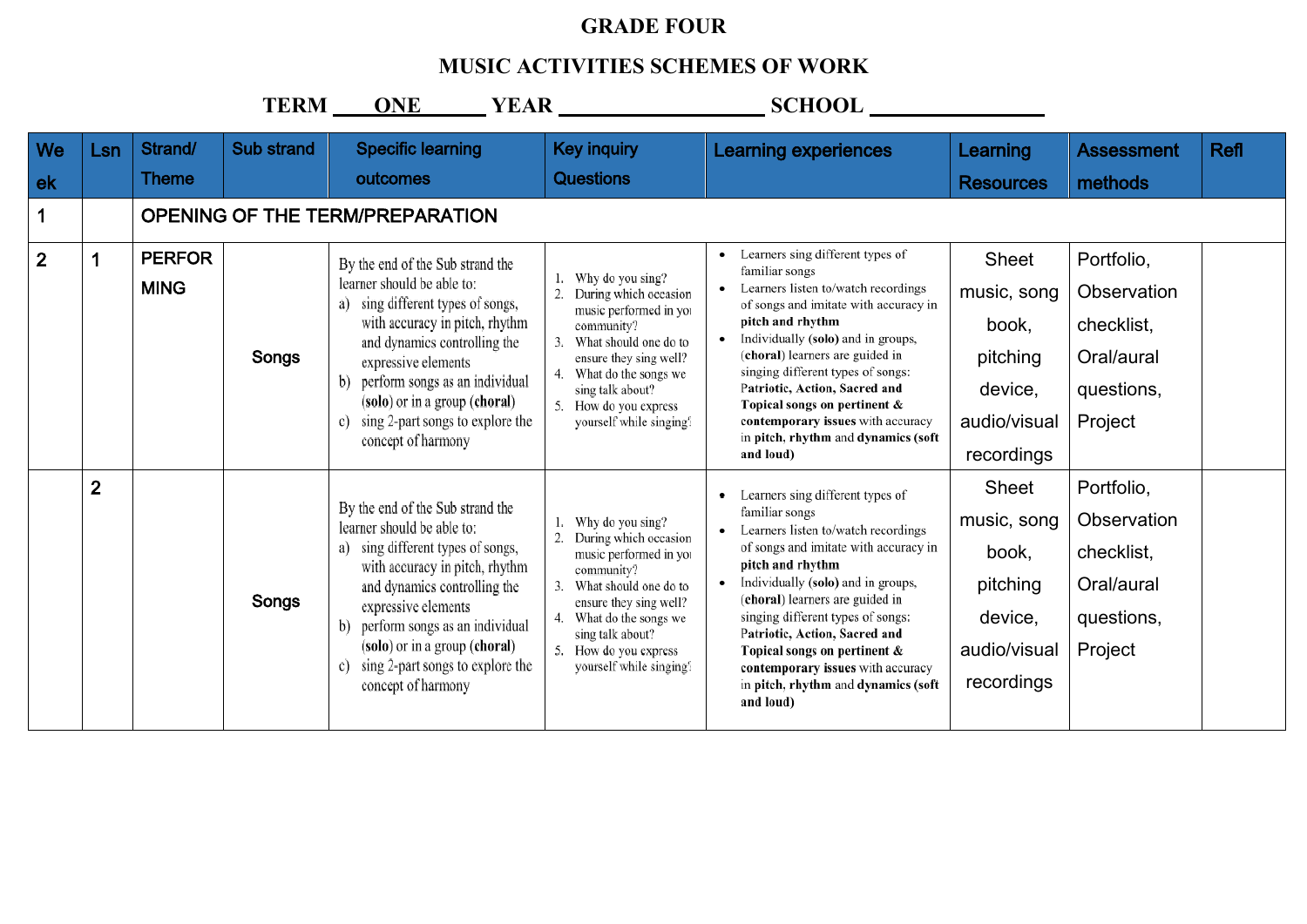## **GRADE FOUR**

## **MUSIC ACTIVITIES SCHEMES OF WORK**

|                |                |                              | TERM ___          | <b>ONE</b>                                                                                                                                                                                                                                                                                                                         |                                                                                                                                                                                                                                      |                                                                                                                                                                                                                                                                                                                                                                                                                                |                                                                                           |                                                                                |             |
|----------------|----------------|------------------------------|-------------------|------------------------------------------------------------------------------------------------------------------------------------------------------------------------------------------------------------------------------------------------------------------------------------------------------------------------------------|--------------------------------------------------------------------------------------------------------------------------------------------------------------------------------------------------------------------------------------|--------------------------------------------------------------------------------------------------------------------------------------------------------------------------------------------------------------------------------------------------------------------------------------------------------------------------------------------------------------------------------------------------------------------------------|-------------------------------------------------------------------------------------------|--------------------------------------------------------------------------------|-------------|
| We             | Lsn            | Strand/                      | <b>Sub strand</b> | <b>Specific learning</b>                                                                                                                                                                                                                                                                                                           | <b>Key inquiry</b>                                                                                                                                                                                                                   | <b>Learning experiences</b>                                                                                                                                                                                                                                                                                                                                                                                                    | Learning                                                                                  | <b>Assessment</b>                                                              | <b>Refl</b> |
| ek             |                | <b>Theme</b>                 |                   | outcomes                                                                                                                                                                                                                                                                                                                           | <b>Questions</b>                                                                                                                                                                                                                     |                                                                                                                                                                                                                                                                                                                                                                                                                                | <b>Resources</b>                                                                          | methods                                                                        |             |
|                |                |                              |                   | <b>OPENING OF THE TERM/PREPARATION</b>                                                                                                                                                                                                                                                                                             |                                                                                                                                                                                                                                      |                                                                                                                                                                                                                                                                                                                                                                                                                                |                                                                                           |                                                                                |             |
| $\overline{2}$ |                | <b>PERFOR</b><br><b>MING</b> | Songs             | By the end of the Sub strand the<br>learner should be able to:<br>a) sing different types of songs,<br>with accuracy in pitch, rhythm<br>and dynamics controlling the<br>expressive elements<br>perform songs as an individual<br>b)<br>(solo) or in a group (choral)<br>sing 2-part songs to explore the<br>c)                    | Why do you sing?<br>During which occasion<br>music performed in you<br>community?<br>What should one do to<br>ensure they sing well?<br>What do the songs we<br>sing talk about?<br>How do you express<br>yourself while singing?    | Learners sing different types of<br>familiar songs<br>Learners listen to/watch recordings<br>of songs and imitate with accuracy in<br>pitch and rhythm<br>Individually (solo) and in groups,<br>(choral) learners are guided in<br>singing different types of songs:<br>Patriotic, Action, Sacred and<br>Topical songs on pertinent &<br>contemporary issues with accuracy<br>in pitch, rhythm and dynamics (soft              | Sheet<br>music, song<br>book,<br>pitching<br>device,<br>audio/visual                      | Portfolio,<br>Observation<br>checklist,<br>Oral/aural<br>questions,<br>Project |             |
|                |                |                              |                   | concept of harmony                                                                                                                                                                                                                                                                                                                 |                                                                                                                                                                                                                                      | and loud)                                                                                                                                                                                                                                                                                                                                                                                                                      | recordings                                                                                |                                                                                |             |
|                | $\overline{2}$ |                              | Songs             | By the end of the Sub strand the<br>learner should be able to:<br>a) sing different types of songs,<br>with accuracy in pitch, rhythm<br>and dynamics controlling the<br>expressive elements<br>b) perform songs as an individual<br>(solo) or in a group (choral)<br>sing 2-part songs to explore the<br>c)<br>concept of harmony | Why do you sing?<br>During which occasion<br>music performed in you<br>community?<br>What should one do to<br>ensure they sing well?<br>What do the songs we<br>sing talk about?<br>5. How do you express<br>yourself while singing? | Learners sing different types of<br>familiar songs<br>Learners listen to/watch recordings<br>of songs and imitate with accuracy in<br>pitch and rhythm<br>Individually (solo) and in groups,<br>(choral) learners are guided in<br>singing different types of songs:<br>Patriotic, Action, Sacred and<br>Topical songs on pertinent &<br>contemporary issues with accuracy<br>in pitch, rhythm and dynamics (soft<br>and loud) | <b>Sheet</b><br>music, song<br>book,<br>pitching<br>device,<br>audio/visual<br>recordings | Portfolio,<br>Observation<br>checklist,<br>Oral/aural<br>questions,<br>Project |             |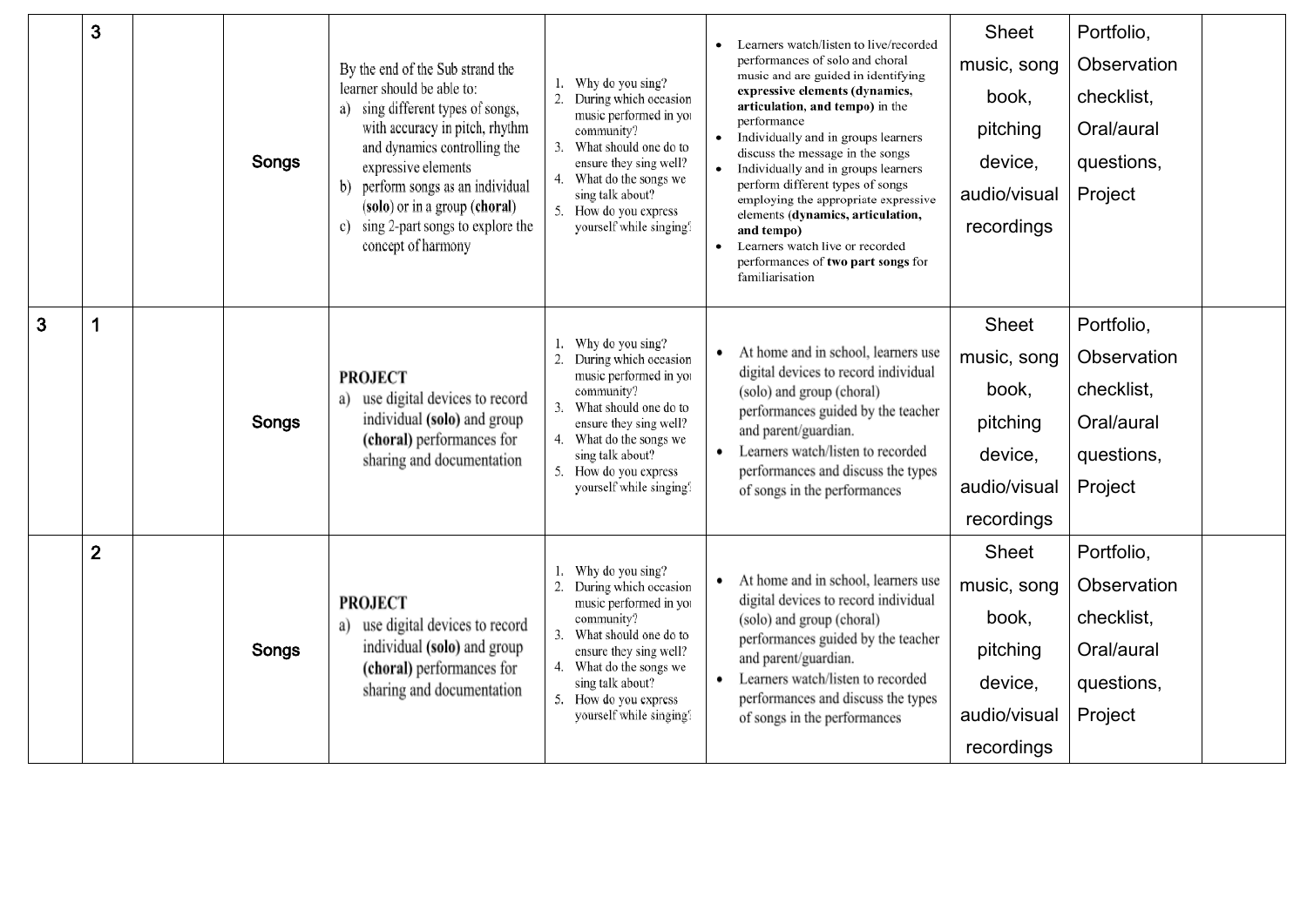|                | 3              | Songs | By the end of the Sub strand the<br>learner should be able to:<br>a) sing different types of songs,<br>with accuracy in pitch, rhythm<br>and dynamics controlling the<br>expressive elements<br>b) perform songs as an individual<br>(solo) or in a group (choral)<br>sing 2-part songs to explore the<br>c) | Why do you sing?<br>1.<br>During which occasion<br>music performed in you<br>community?<br>What should one do to<br>3.<br>ensure they sing well?<br>What do the songs we<br>4.<br>sing talk about?<br>5. How do you express<br>yourself while singing?    | Learners watch/listen to live/recorded<br>performances of solo and choral<br>music and are guided in identifying<br>expressive elements (dynamics,<br>articulation, and tempo) in the<br>performance<br>Individually and in groups learners<br>discuss the message in the songs<br>Individually and in groups learners<br>perform different types of songs<br>employing the appropriate expressive<br>elements (dynamics, articulation,<br>and tempo) | Sheet<br>music, song<br>book,<br>pitching<br>device,<br>audio/visual<br>recordings | Portfolio,<br>Observation<br>checklist,<br>Oral/aural<br>questions,<br>Project |  |
|----------------|----------------|-------|--------------------------------------------------------------------------------------------------------------------------------------------------------------------------------------------------------------------------------------------------------------------------------------------------------------|-----------------------------------------------------------------------------------------------------------------------------------------------------------------------------------------------------------------------------------------------------------|-------------------------------------------------------------------------------------------------------------------------------------------------------------------------------------------------------------------------------------------------------------------------------------------------------------------------------------------------------------------------------------------------------------------------------------------------------|------------------------------------------------------------------------------------|--------------------------------------------------------------------------------|--|
|                |                |       | concept of harmony                                                                                                                                                                                                                                                                                           |                                                                                                                                                                                                                                                           | Learners watch live or recorded<br>performances of two part songs for<br>familiarisation                                                                                                                                                                                                                                                                                                                                                              |                                                                                    |                                                                                |  |
| $\overline{3}$ | 1              | Songs | <b>PROJECT</b><br>a) use digital devices to record<br>individual (solo) and group<br>(choral) performances for<br>sharing and documentation                                                                                                                                                                  | Why do you sing?<br>1.<br>2. During which occasion<br>music performed in you<br>community?<br>3.<br>What should one do to<br>ensure they sing well?<br>4. What do the songs we<br>sing talk about?<br>How do you express<br>5.<br>yourself while singing? | At home and in school, learners use<br>digital devices to record individual<br>(solo) and group (choral)<br>performances guided by the teacher<br>and parent/guardian.<br>Learners watch/listen to recorded<br>$\bullet$<br>performances and discuss the types<br>of songs in the performances                                                                                                                                                        | Sheet<br>music, song<br>book,<br>pitching<br>device,<br>audio/visual<br>recordings | Portfolio,<br>Observation<br>checklist,<br>Oral/aural<br>questions,<br>Project |  |
|                | $\overline{2}$ | Songs | <b>PROJECT</b><br>a) use digital devices to record<br>individual (solo) and group<br>(choral) performances for<br>sharing and documentation                                                                                                                                                                  | 1. Why do you sing?<br>During which occasion<br>2.<br>music performed in you<br>community?<br>3.<br>What should one do to<br>ensure they sing well?<br>4. What do the songs we<br>sing talk about?<br>How do you express<br>5.<br>yourself while singing? | At home and in school, learners use<br>$\bullet$<br>digital devices to record individual<br>(solo) and group (choral)<br>performances guided by the teacher<br>and parent/guardian.<br>Learners watch/listen to recorded<br>$\bullet$<br>performances and discuss the types<br>of songs in the performances                                                                                                                                           | Sheet<br>music, song<br>book,<br>pitching<br>device,<br>audio/visual<br>recordings | Portfolio,<br>Observation<br>checklist,<br>Oral/aural<br>questions,<br>Project |  |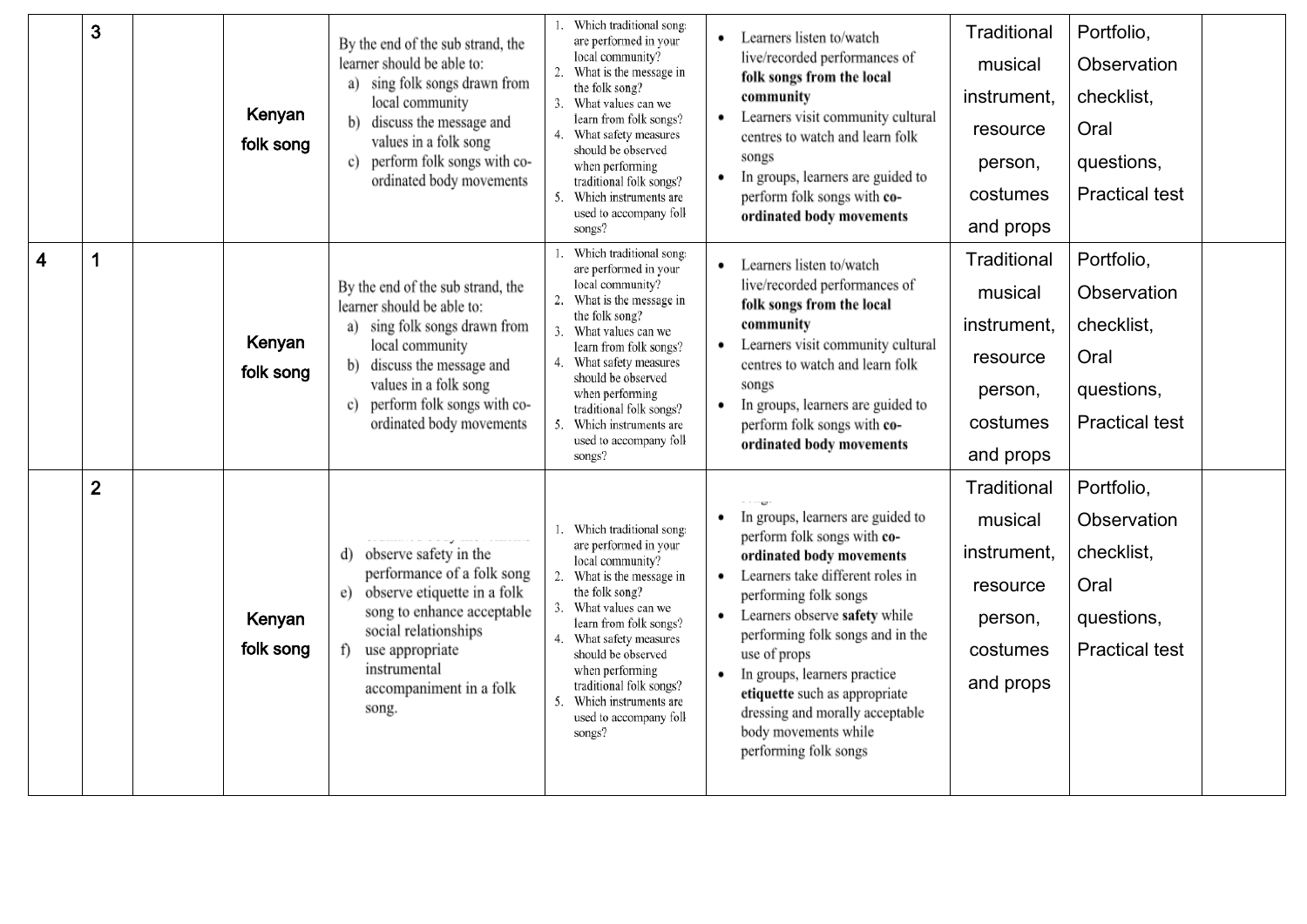|                         | 3            | Kenyan<br>folk song | By the end of the sub strand, the<br>learner should be able to:<br>a) sing folk songs drawn from<br>local community<br>discuss the message and<br>b)<br>values in a folk song<br>perform folk songs with co-<br>c)<br>ordinated body movements | Which traditional song:<br>are performed in your<br>local community?<br>2.<br>What is the message in<br>the folk song?<br>What values can we<br>3.<br>learn from folk songs?<br>What safety measures<br>should be observed<br>when performing<br>traditional folk songs?<br>Which instruments are<br>used to accompany foll<br>songs?                    | Learners listen to/watch<br>٠<br>live/recorded performances of<br>folk songs from the local<br>community<br>Learners visit community cultural<br>centres to watch and learn folk<br>songs<br>In groups, learners are guided to<br>perform folk songs with co-<br>ordinated body movements                                                                                                                     | Traditional<br>musical<br>instrument,<br>resource<br>person,<br>costumes<br>and props | Portfolio,<br>Observation<br>checklist,<br>Oral<br>questions,<br><b>Practical test</b> |  |
|-------------------------|--------------|---------------------|------------------------------------------------------------------------------------------------------------------------------------------------------------------------------------------------------------------------------------------------|----------------------------------------------------------------------------------------------------------------------------------------------------------------------------------------------------------------------------------------------------------------------------------------------------------------------------------------------------------|---------------------------------------------------------------------------------------------------------------------------------------------------------------------------------------------------------------------------------------------------------------------------------------------------------------------------------------------------------------------------------------------------------------|---------------------------------------------------------------------------------------|----------------------------------------------------------------------------------------|--|
| $\overline{\mathbf{4}}$ |              | Kenyan<br>folk song | By the end of the sub strand, the<br>learner should be able to:<br>sing folk songs drawn from<br>a)<br>local community<br>discuss the message and<br>values in a folk song<br>perform folk songs with co-<br>c)<br>ordinated body movements    | Which traditional song:<br>are performed in your<br>local community?<br>2.<br>What is the message in<br>the folk song?<br>What values can we<br>3.<br>learn from folk songs?<br>What safety measures<br>should be observed<br>when performing<br>traditional folk songs?<br>5.<br>Which instruments are<br>used to accompany foll<br>songs?              | Learners listen to/watch<br>٠<br>live/recorded performances of<br>folk songs from the local<br>community<br>Learners visit community cultural<br>centres to watch and learn folk<br>songs<br>In groups, learners are guided to<br>٠<br>perform folk songs with co-<br>ordinated body movements                                                                                                                | Traditional<br>musical<br>instrument,<br>resource<br>person,<br>costumes<br>and props | Portfolio,<br>Observation<br>checklist,<br>Oral<br>questions,<br><b>Practical test</b> |  |
|                         | $\mathbf{2}$ | Kenyan<br>folk song | d) observe safety in the<br>performance of a folk song<br>observe etiquette in a folk<br>e)<br>song to enhance acceptable<br>social relationships<br>f)<br>use appropriate<br>instrumental<br>accompaniment in a folk<br>song.                 | Which traditional song:<br>1.<br>are performed in your<br>local community?<br>2.<br>What is the message in<br>the folk song?<br>What values can we<br>3.<br>learn from folk songs?<br>What safety measures<br>4.<br>should be observed<br>when performing<br>traditional folk songs?<br>Which instruments are<br>-5.<br>used to accompany foll<br>songs? | In groups, learners are guided to<br>perform folk songs with co-<br>ordinated body movements<br>Learners take different roles in<br>performing folk songs<br>Learners observe safety while<br>٠<br>performing folk songs and in the<br>use of props<br>In groups, learners practice<br>٠<br>etiquette such as appropriate<br>dressing and morally acceptable<br>body movements while<br>performing folk songs | Traditional<br>musical<br>instrument,<br>resource<br>person,<br>costumes<br>and props | Portfolio,<br>Observation<br>checklist,<br>Oral<br>questions,<br><b>Practical test</b> |  |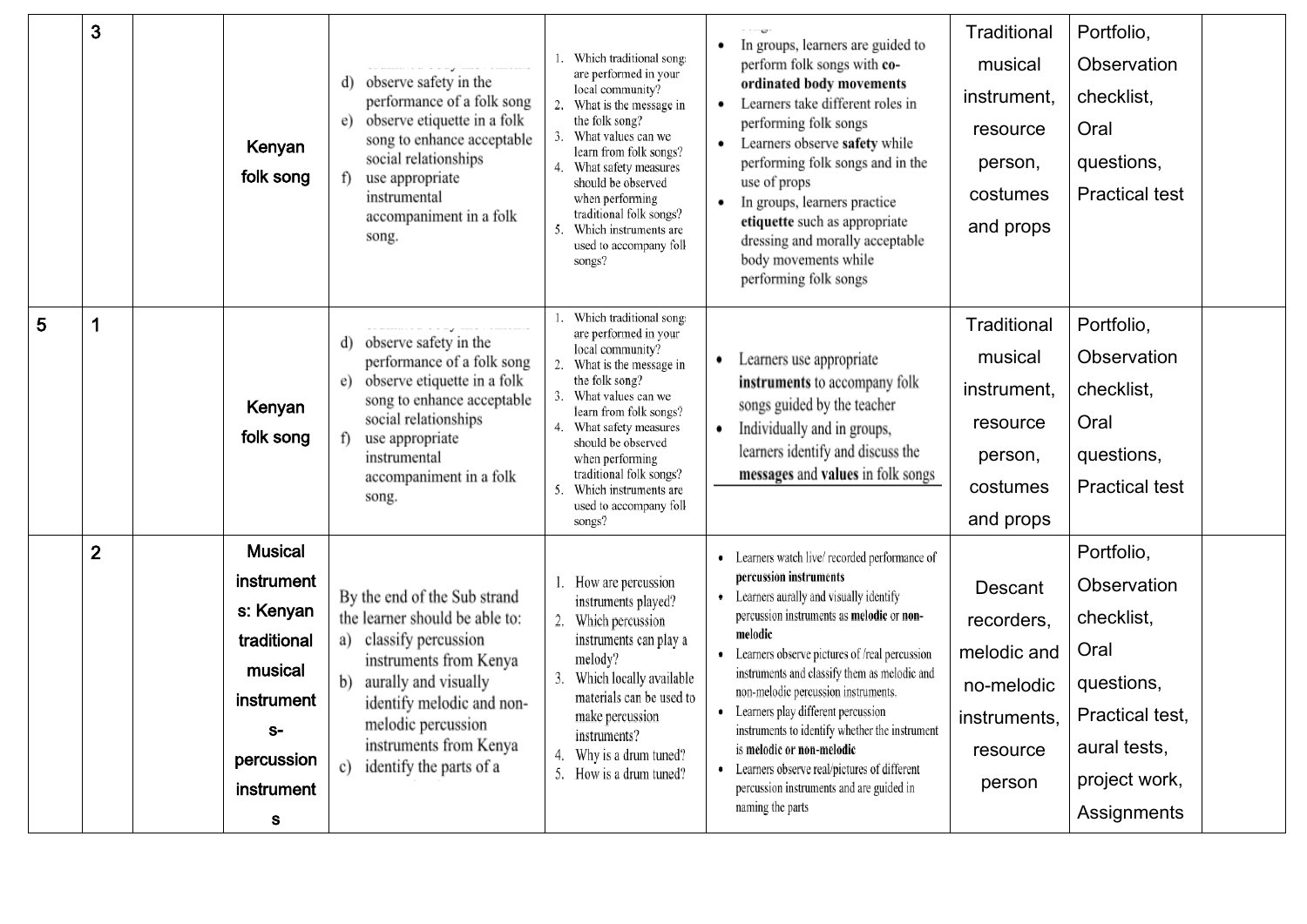|   | 3              | Kenyan<br>folk song                                                                                                        | observe safety in the<br>d)<br>performance of a folk song<br>observe etiquette in a folk<br>e)<br>song to enhance acceptable<br>social relationships<br>use appropriate<br>$\uparrow$<br>instrumental<br>accompaniment in a folk<br>song.                      | Which traditional song:<br>are performed in your<br>local community?<br>2. What is the message in<br>the folk song?<br>What values can we<br>learn from folk songs?<br>4. What safety measures<br>should be observed<br>when performing<br>traditional folk songs?<br>Which instruments are<br>used to accompany foll<br>songs? | In groups, learners are guided to<br>perform folk songs with co-<br>ordinated body movements<br>Learners take different roles in<br>performing folk songs<br>Learners observe safety while<br>performing folk songs and in the<br>use of props<br>In groups, learners practice<br>٠<br>etiquette such as appropriate<br>dressing and morally acceptable<br>body movements while<br>performing folk songs                                                                                                                                                    | Traditional<br>musical<br>instrument,<br>resource<br>person,<br>costumes<br>and props    | Portfolio,<br>Observation<br>checklist,<br>Oral<br>questions,<br><b>Practical test</b>                                           |  |
|---|----------------|----------------------------------------------------------------------------------------------------------------------------|----------------------------------------------------------------------------------------------------------------------------------------------------------------------------------------------------------------------------------------------------------------|---------------------------------------------------------------------------------------------------------------------------------------------------------------------------------------------------------------------------------------------------------------------------------------------------------------------------------|-------------------------------------------------------------------------------------------------------------------------------------------------------------------------------------------------------------------------------------------------------------------------------------------------------------------------------------------------------------------------------------------------------------------------------------------------------------------------------------------------------------------------------------------------------------|------------------------------------------------------------------------------------------|----------------------------------------------------------------------------------------------------------------------------------|--|
| 5 | 1              | Kenyan<br>folk song                                                                                                        | observe safety in the<br>d)<br>performance of a folk song<br>observe etiquette in a folk<br>e)<br>song to enhance acceptable<br>social relationships<br>f)<br>use appropriate<br>instrumental<br>accompaniment in a folk<br>song.                              | Which traditional song:<br>are performed in your<br>local community?<br>2. What is the message in<br>the folk song?<br>What values can we<br>learn from folk songs?<br>4. What safety measures<br>should be observed<br>when performing<br>traditional folk songs?<br>Which instruments are<br>used to accompany foll<br>songs? | Learners use appropriate<br>instruments to accompany folk<br>songs guided by the teacher<br>Individually and in groups,<br>learners identify and discuss the<br>messages and values in folk songs                                                                                                                                                                                                                                                                                                                                                           | Traditional<br>musical<br>instrument,<br>resource<br>person,<br>costumes<br>and props    | Portfolio,<br>Observation<br>checklist,<br>Oral<br>questions,<br><b>Practical test</b>                                           |  |
|   | $\overline{2}$ | <b>Musical</b><br>instrument<br>s: Kenyan<br>traditional<br>musical<br>instrument<br>$S-$<br>percussion<br>instrument<br>S | By the end of the Sub strand<br>the learner should be able to:<br>a) classify percussion<br>instruments from Kenya<br>aurally and visually<br>b)<br>identify melodic and non-<br>melodic percussion<br>instruments from Kenya<br>identify the parts of a<br>c) | How are percussion<br>instruments played?<br>Which percussion<br>instruments can play a<br>melody?<br>Which locally available<br>materials can be used to<br>make percussion<br>instruments?<br>Why is a drum tuned?<br>5. How is a drum tuned?                                                                                 | • Learners watch live/recorded performance of<br>percussion instruments<br>• Learners aurally and visually identify<br>percussion instruments as melodic or non-<br>melodic<br>• Learners observe pictures of /real percussion<br>instruments and classify them as melodic and<br>non-melodic percussion instruments.<br>Learners play different percussion<br>instruments to identify whether the instrument<br>is melodic or non-melodic<br>• Learners observe real/pictures of different<br>percussion instruments and are guided in<br>naming the parts | Descant<br>recorders,<br>melodic and<br>no-melodic<br>instruments,<br>resource<br>person | Portfolio,<br>Observation<br>checklist,<br>Oral<br>questions,<br>Practical test,<br>aural tests,<br>project work,<br>Assignments |  |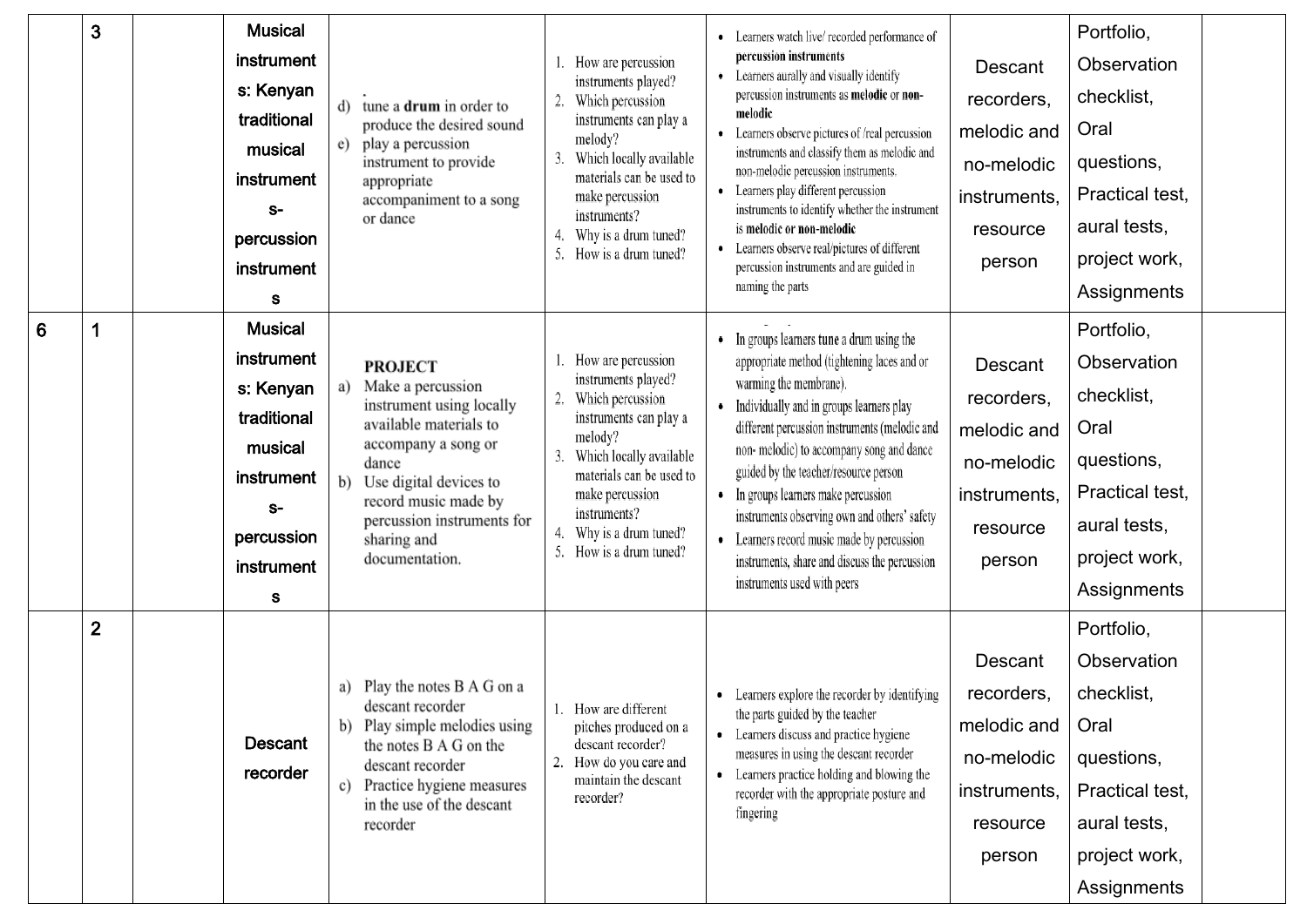|                 | 3              | <b>Musical</b><br>instrument<br>s: Kenyan<br>traditional<br>musical<br>instrument<br>$S-$<br>percussion<br>instrument<br>s        | d) tune a <b>drum</b> in order to<br>produce the desired sound<br>e) play a percussion<br>instrument to provide<br>appropriate<br>accompaniment to a song<br>or dance                                                                               | How are percussion<br>instruments played?<br>Which percussion<br>2.<br>instruments can play a<br>melody?<br>Which locally available<br>materials can be used to<br>make percussion<br>instruments?<br>Why is a drum tuned?<br>4.<br>How is a drum tuned? | • Learners watch live/recorded performance of<br>percussion instruments<br>• Learners aurally and visually identify<br>percussion instruments as melodic or non-<br>melodic<br>• Learners observe pictures of /real percussion<br>instruments and classify them as melodic and<br>non-melodic percussion instruments.<br>• Learners play different percussion<br>instruments to identify whether the instrument<br>is melodic or non-melodic<br>• Learners observe real/pictures of different<br>percussion instruments and are guided in<br>naming the parts | Descant<br>recorders,<br>melodic and<br>no-melodic<br>instruments,<br>resource<br>person | Portfolio,<br>Observation<br>checklist,<br>Oral<br>questions,<br>Practical test,<br>aural tests,<br>project work,<br>Assignments |  |
|-----------------|----------------|-----------------------------------------------------------------------------------------------------------------------------------|-----------------------------------------------------------------------------------------------------------------------------------------------------------------------------------------------------------------------------------------------------|----------------------------------------------------------------------------------------------------------------------------------------------------------------------------------------------------------------------------------------------------------|---------------------------------------------------------------------------------------------------------------------------------------------------------------------------------------------------------------------------------------------------------------------------------------------------------------------------------------------------------------------------------------------------------------------------------------------------------------------------------------------------------------------------------------------------------------|------------------------------------------------------------------------------------------|----------------------------------------------------------------------------------------------------------------------------------|--|
| $6\phantom{1}6$ | 1              | <b>Musical</b><br><b>instrument</b><br>s: Kenyan<br>traditional<br>musical<br>instrument<br>$S-$<br>percussion<br>instrument<br>s | <b>PROJECT</b><br>Make a percussion<br>a)<br>instrument using locally<br>available materials to<br>accompany a song or<br>dance<br>b) Use digital devices to<br>record music made by<br>percussion instruments for<br>sharing and<br>documentation. | How are percussion<br>instruments played?<br>2.<br>Which percussion<br>instruments can play a<br>melody?<br>Which locally available<br>materials can be used to<br>make percussion<br>instruments?<br>Why is a drum tuned?<br>5.<br>How is a drum tuned? | In groups learners tune a drum using the<br>٠<br>appropriate method (tightening laces and or<br>warming the membrane).<br>Individually and in groups learners play<br>$\bullet$<br>different percussion instruments (melodic and<br>non-melodic) to accompany song and dance<br>guided by the teacher/resource person<br>In groups learners make percussion<br>٠<br>instruments observing own and others' safety<br>Learners record music made by percussion<br>$\bullet$<br>instruments, share and discuss the percussion<br>instruments used with peers     | Descant<br>recorders,<br>melodic and<br>no-melodic<br>instruments,<br>resource<br>person | Portfolio,<br>Observation<br>checklist,<br>Oral<br>questions,<br>Practical test,<br>aural tests,<br>project work,<br>Assignments |  |
|                 | $\overline{2}$ | <b>Descant</b><br>recorder                                                                                                        | a) Play the notes B A G on a<br>descant recorder<br>b) Play simple melodies using<br>the notes B A G on the<br>descant recorder<br>c) Practice hygiene measures<br>in the use of the descant<br>recorder                                            | 1. How are different<br>pitches produced on a<br>descant recorder?<br>2.<br>How do you care and<br>maintain the descant<br>recorder?                                                                                                                     | • Learners explore the recorder by identifying<br>the parts guided by the teacher<br>• Learners discuss and practice hygiene<br>measures in using the descant recorder<br>• Learners practice holding and blowing the<br>recorder with the appropriate posture and<br>fingering                                                                                                                                                                                                                                                                               | Descant<br>recorders,<br>melodic and<br>no-melodic<br>instruments,<br>resource<br>person | Portfolio,<br>Observation<br>checklist,<br>Oral<br>questions,<br>Practical test,<br>aural tests,<br>project work,<br>Assignments |  |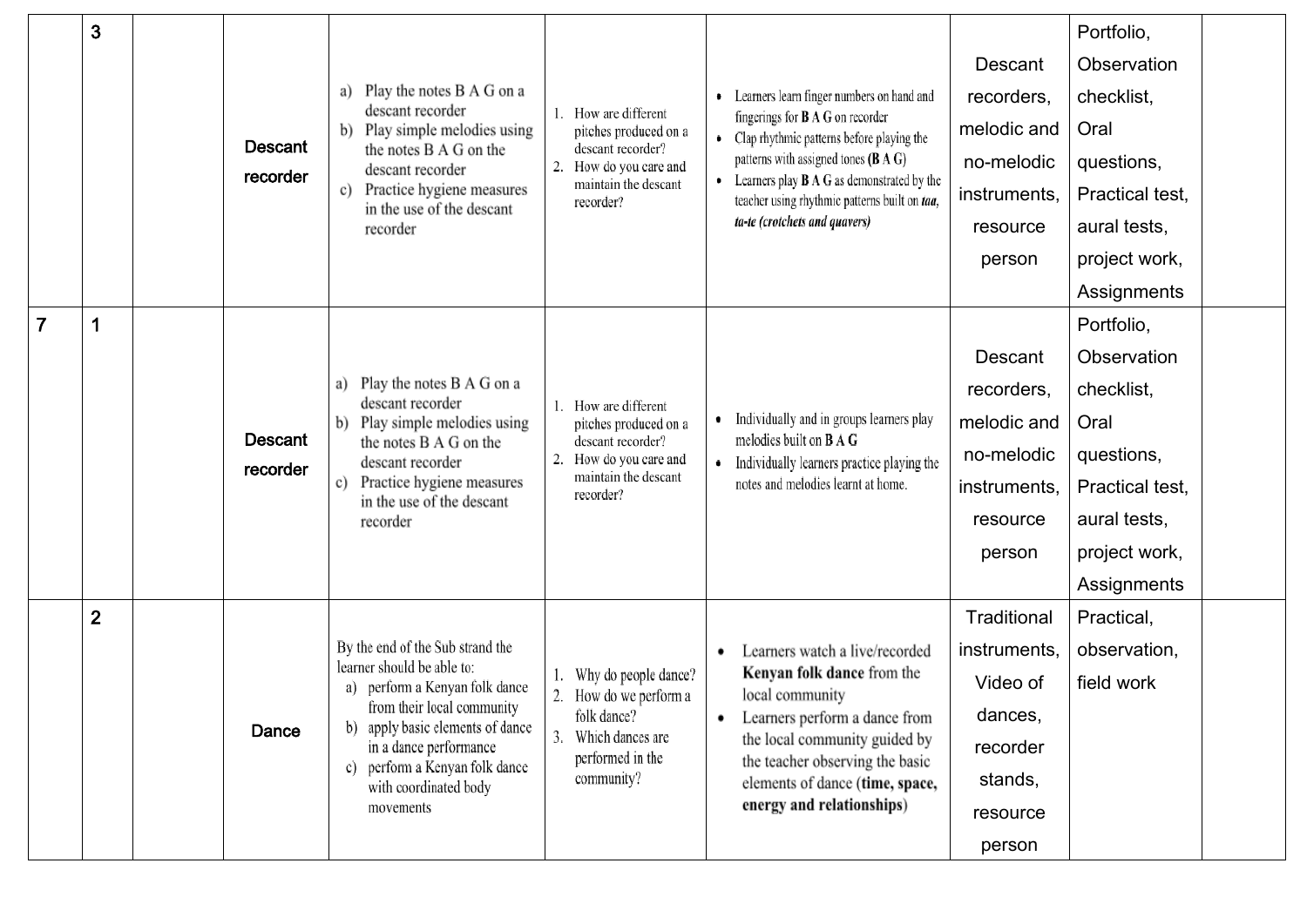|                | 3              |  |                                                  |                                                                                                                                                            |                                                   |                                                                                                     |              | Portfolio,                                                        |  |
|----------------|----------------|--|--------------------------------------------------|------------------------------------------------------------------------------------------------------------------------------------------------------------|---------------------------------------------------|-----------------------------------------------------------------------------------------------------|--------------|-------------------------------------------------------------------|--|
|                |                |  |                                                  |                                                                                                                                                            |                                                   |                                                                                                     | Descant      | Observation                                                       |  |
|                |                |  | a) Play the notes B A G on a<br>descant recorder |                                                                                                                                                            | • Learners learn finger numbers on hand and       | recorders,                                                                                          | checklist,   |                                                                   |  |
|                |                |  |                                                  | b) Play simple melodies using                                                                                                                              | How are different<br>pitches produced on a        | fingerings for $B \land G$ on recorder<br>• Clap rhythmic patterns before playing the               | melodic and  | Oral                                                              |  |
|                |                |  | <b>Descant</b><br>recorder                       | the notes B A G on the<br>descant recorder                                                                                                                 | descant recorder?<br>How do you care and<br>2.    | patterns with assigned tones (B A G)                                                                | no-melodic   | questions,                                                        |  |
|                |                |  |                                                  | Practice hygiene measures<br>c)<br>in the use of the descant                                                                                               | maintain the descant<br>recorder?                 | • Learners play $B \land G$ as demonstrated by the<br>teacher using rhythmic patterns built on taa, | instruments, | Practical test,                                                   |  |
|                |                |  |                                                  | recorder                                                                                                                                                   |                                                   | ta-te (crotchets and quavers)                                                                       | resource     | aural tests,                                                      |  |
|                |                |  |                                                  |                                                                                                                                                            |                                                   |                                                                                                     | person       | project work,                                                     |  |
|                |                |  |                                                  |                                                                                                                                                            |                                                   |                                                                                                     |              | Assignments                                                       |  |
| $\overline{7}$ | 1              |  |                                                  |                                                                                                                                                            |                                                   |                                                                                                     | Portfolio,   |                                                                   |  |
|                |                |  |                                                  |                                                                                                                                                            |                                                   |                                                                                                     | Descant      | Observation                                                       |  |
|                |                |  |                                                  | Play the notes B A G on a<br>descant recorder                                                                                                              | How are different                                 |                                                                                                     | recorders,   | checklist,<br>Oral<br>no-melodic<br>questions,<br>Practical test, |  |
|                |                |  | <b>Descant</b>                                   | Play simple melodies using<br>b)<br>the notes B A G on the<br>descant recorder<br>Practice hygiene measures<br>c)<br>in the use of the descant<br>recorder | pitches produced on a                             | Individually and in groups learners play<br>٠                                                       | melodic and  |                                                                   |  |
|                |                |  | recorder                                         |                                                                                                                                                            | descant recorder?<br>How do you care and          | melodies built on <b>B</b> A G<br>• Individually learners practice playing the                      |              |                                                                   |  |
|                |                |  |                                                  |                                                                                                                                                            | maintain the descant<br>recorder?                 | notes and melodies learnt at home.                                                                  | instruments, |                                                                   |  |
|                |                |  |                                                  |                                                                                                                                                            |                                                   |                                                                                                     | resource     | aural tests,                                                      |  |
|                |                |  |                                                  |                                                                                                                                                            |                                                   | person                                                                                              |              | project work,                                                     |  |
|                |                |  |                                                  |                                                                                                                                                            |                                                   |                                                                                                     |              | Assignments                                                       |  |
|                | $\overline{2}$ |  |                                                  |                                                                                                                                                            |                                                   |                                                                                                     | Traditional  | Practical,                                                        |  |
|                |                |  |                                                  | By the end of the Sub strand the<br>learner should be able to:                                                                                             |                                                   | Learners watch a live/recorded<br>٠                                                                 | instruments, | observation,                                                      |  |
|                |                |  |                                                  | a) perform a Kenyan folk dance                                                                                                                             | Why do people dance?<br>2.<br>How do we perform a | Kenyan folk dance from the<br>local community                                                       | Video of     | field work                                                        |  |
|                |                |  | Dance                                            | from their local community<br>b) apply basic elements of dance                                                                                             | folk dance?                                       | Learners perform a dance from<br>٠                                                                  | dances,      |                                                                   |  |
|                |                |  |                                                  | in a dance performance<br>c) perform a Kenyan folk dance                                                                                                   | 3.<br>Which dances are<br>performed in the        | the local community guided by<br>the teacher observing the basic                                    | recorder     |                                                                   |  |
|                |                |  |                                                  | with coordinated body                                                                                                                                      | community?                                        | elements of dance (time, space,                                                                     | stands,      |                                                                   |  |
|                |                |  |                                                  | movements                                                                                                                                                  |                                                   | energy and relationships)                                                                           | resource     |                                                                   |  |
|                |                |  |                                                  |                                                                                                                                                            |                                                   |                                                                                                     | person       |                                                                   |  |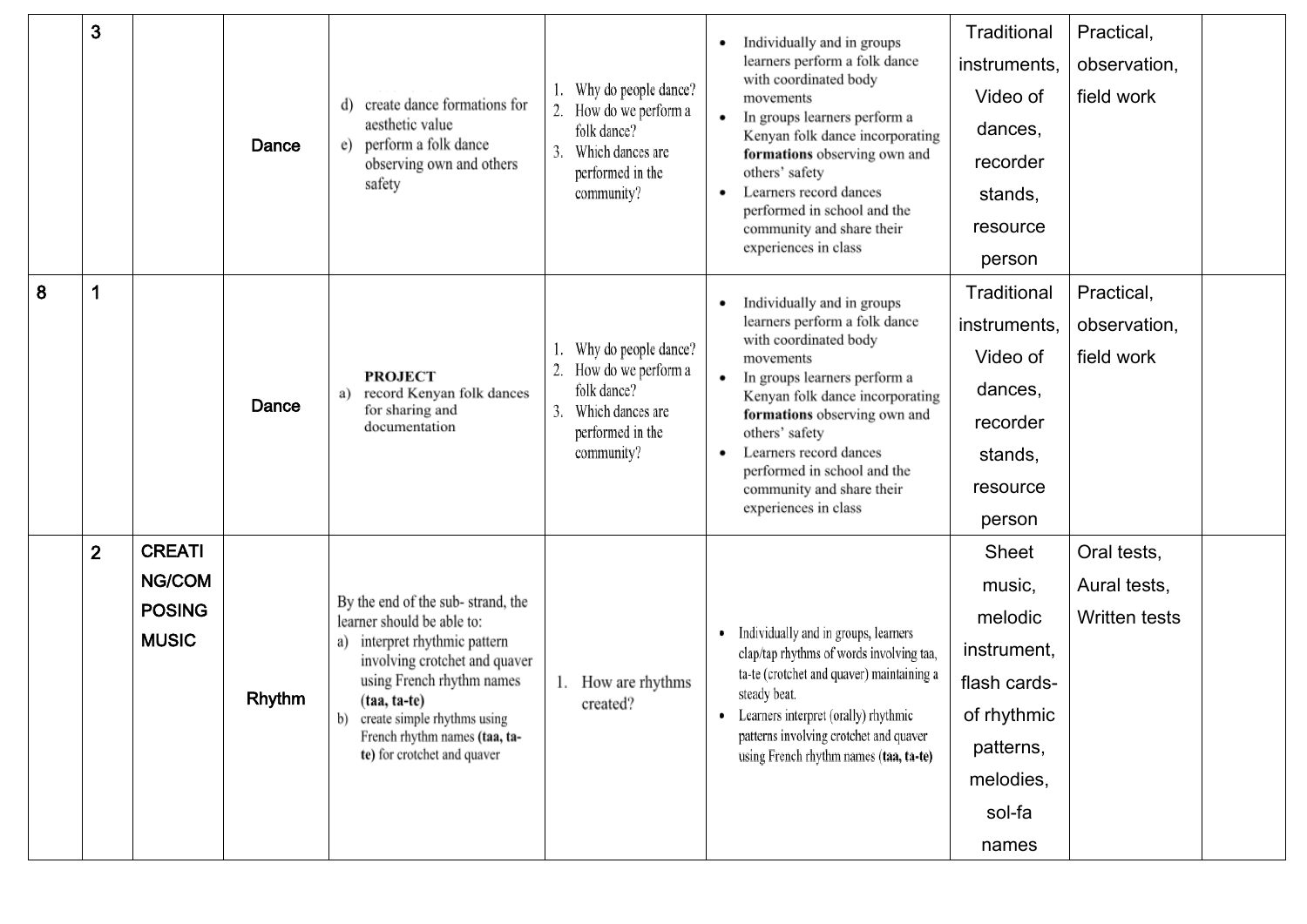|   | 3              |                                                                 | Dance         | d) create dance formations for<br>aesthetic value<br>e) perform a folk dance<br>observing own and others<br>safety                                                                                                                                                                    | Why do people dance?<br>How do we perform a<br>2.<br>folk dance?<br>Which dances are<br>3.<br>performed in the<br>community? | Individually and in groups<br>learners perform a folk dance<br>with coordinated body<br>movements<br>In groups learners perform a<br>Kenyan folk dance incorporating<br>formations observing own and<br>others' safety<br>Learners record dances<br>$\bullet$<br>performed in school and the<br>community and share their<br>experiences in class | Traditional<br>instruments,<br>Video of<br>dances,<br>recorder<br>stands,<br>resource<br>person                       | Practical,<br>observation,<br>field work            |  |
|---|----------------|-----------------------------------------------------------------|---------------|---------------------------------------------------------------------------------------------------------------------------------------------------------------------------------------------------------------------------------------------------------------------------------------|------------------------------------------------------------------------------------------------------------------------------|---------------------------------------------------------------------------------------------------------------------------------------------------------------------------------------------------------------------------------------------------------------------------------------------------------------------------------------------------|-----------------------------------------------------------------------------------------------------------------------|-----------------------------------------------------|--|
| 8 | 1              |                                                                 | Dance         | <b>PROJECT</b><br>a) record Kenyan folk dances<br>for sharing and<br>documentation                                                                                                                                                                                                    | Why do people dance?<br>How do we perform a<br>folk dance?<br>Which dances are<br>3.<br>performed in the<br>community?       | Individually and in groups<br>learners perform a folk dance<br>with coordinated body<br>movements<br>In groups learners perform a<br>Kenyan folk dance incorporating<br>formations observing own and<br>others' safety<br>Learners record dances<br>performed in school and the<br>community and share their<br>experiences in class              | Traditional<br>instruments,<br>Video of<br>dances,<br>recorder<br>stands,<br>resource<br>person                       | Practical,<br>observation,<br>field work            |  |
|   | $\overline{2}$ | <b>CREATI</b><br><b>NG/COM</b><br><b>POSING</b><br><b>MUSIC</b> | <b>Rhythm</b> | By the end of the sub-strand, the<br>learner should be able to:<br>a) interpret rhythmic pattern<br>involving crotchet and quaver<br>using French rhythm names<br>$(taa, ta-te)$<br>create simple rhythms using<br>b)<br>French rhythm names (taa, ta-<br>te) for crotchet and quaver | 1. How are rhythms<br>created?                                                                                               | Individually and in groups, learners<br>٠<br>clap/tap rhythms of words involving taa,<br>ta-te (crotchet and quaver) maintaining a<br>steady beat.<br>• Learners interpret (orally) rhythmic<br>patterns involving crotchet and quaver<br>using French rhythm names (taa, ta-te)                                                                  | Sheet<br>music,<br>melodic<br>instrument,<br>flash cards-<br>of rhythmic<br>patterns,<br>melodies,<br>sol-fa<br>names | Oral tests,<br>Aural tests,<br><b>Written tests</b> |  |